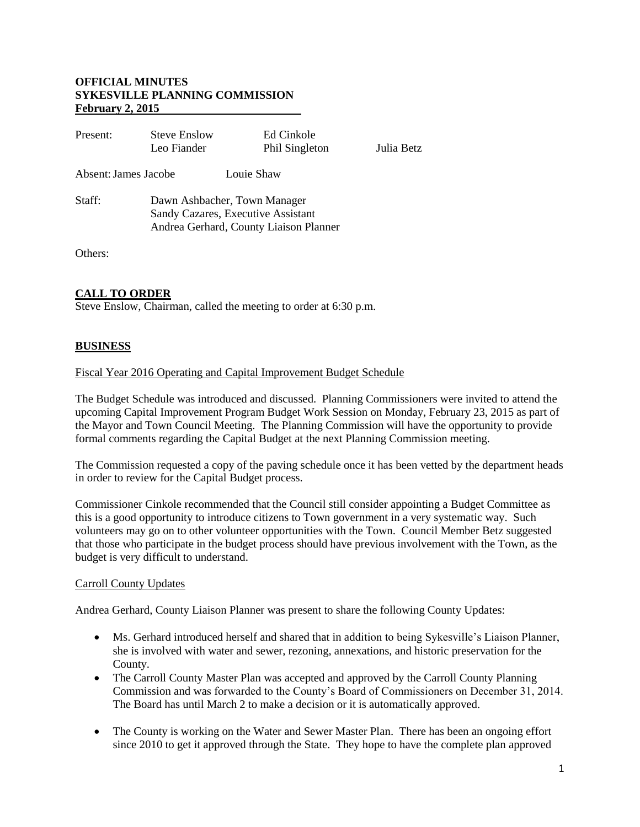## **OFFICIAL MINUTES SYKESVILLE PLANNING COMMISSION February 2, 2015**

| Present:             | <b>Steve Enslow</b><br>Leo Fiander                                                                           | Ed Cinkole<br>Phil Singleton | Julia Betz |
|----------------------|--------------------------------------------------------------------------------------------------------------|------------------------------|------------|
| Absent: James Jacobe | Louie Shaw                                                                                                   |                              |            |
| Staff:               | Dawn Ashbacher, Town Manager<br>Sandy Cazares, Executive Assistant<br>Andrea Gerhard, County Liaison Planner |                              |            |
|                      |                                                                                                              |                              |            |

Others:

## **CALL TO ORDER**

Steve Enslow, Chairman, called the meeting to order at 6:30 p.m.

### **BUSINESS**

#### Fiscal Year 2016 Operating and Capital Improvement Budget Schedule

The Budget Schedule was introduced and discussed. Planning Commissioners were invited to attend the upcoming Capital Improvement Program Budget Work Session on Monday, February 23, 2015 as part of the Mayor and Town Council Meeting. The Planning Commission will have the opportunity to provide formal comments regarding the Capital Budget at the next Planning Commission meeting.

The Commission requested a copy of the paving schedule once it has been vetted by the department heads in order to review for the Capital Budget process.

Commissioner Cinkole recommended that the Council still consider appointing a Budget Committee as this is a good opportunity to introduce citizens to Town government in a very systematic way. Such volunteers may go on to other volunteer opportunities with the Town. Council Member Betz suggested that those who participate in the budget process should have previous involvement with the Town, as the budget is very difficult to understand.

### Carroll County Updates

Andrea Gerhard, County Liaison Planner was present to share the following County Updates:

- Ms. Gerhard introduced herself and shared that in addition to being Sykesville's Liaison Planner, she is involved with water and sewer, rezoning, annexations, and historic preservation for the County.
- The Carroll County Master Plan was accepted and approved by the Carroll County Planning Commission and was forwarded to the County's Board of Commissioners on December 31, 2014. The Board has until March 2 to make a decision or it is automatically approved.
- The County is working on the Water and Sewer Master Plan. There has been an ongoing effort since 2010 to get it approved through the State. They hope to have the complete plan approved